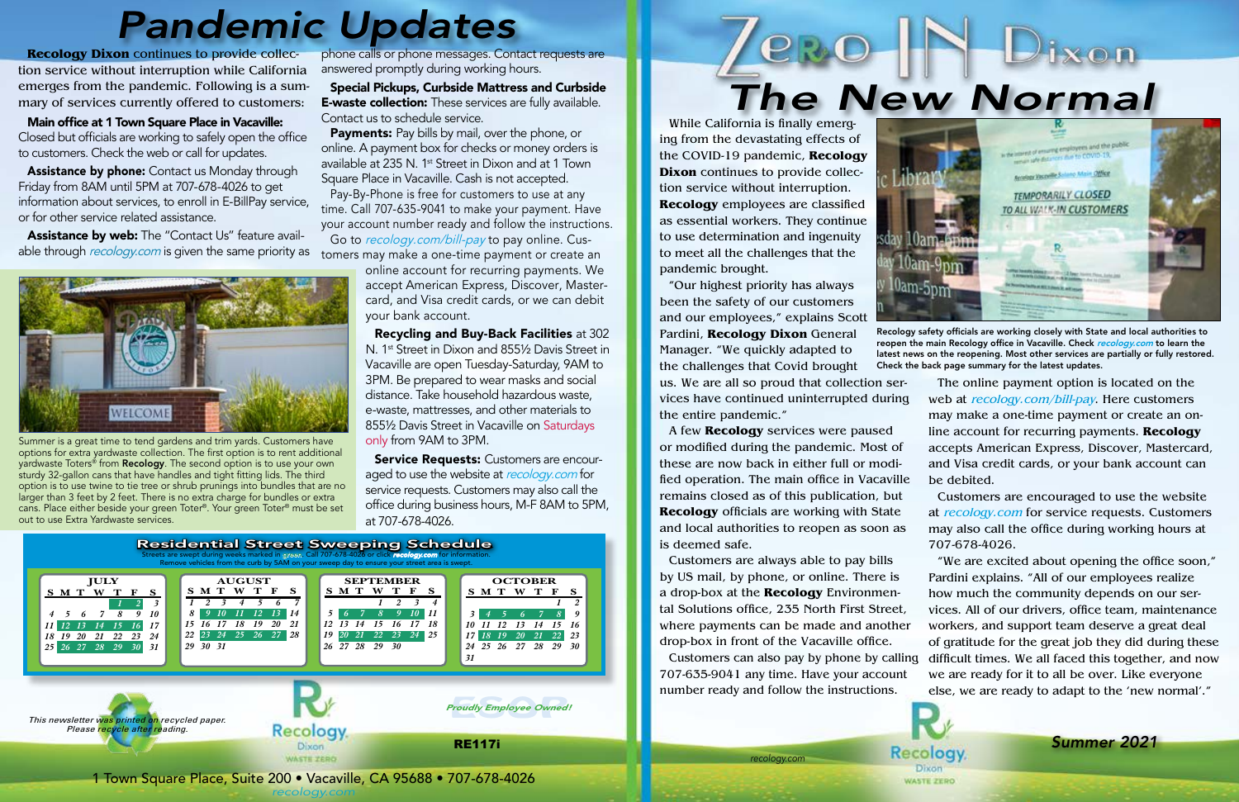*recology.com*

*recologyvare Place, Suite 200 • Vacaville, CA 95688 • 707-678-4026* **1 Acceleration of the Case of Acceleration** CA 95688 • 707-678-4026 *recology.com* 1 Town Square Place, Suite 200 • Vacaville, CA 95688 • 707-678-4026 *recology.com*



Assistance by phone: Contact us Monday through Friday from 8AM until 5PM at 707-678-4026 to get information about services, to enroll in E-BillPay service, or for other service related assistance.

Assistance by web: The "Contact Us" feature available through *recology.com* is given the same priority as



Summer is a great time to tend gardens and trim yards. Customers have options for extra yardwaste collection. The first option is to rent additional yardwaste Toters® from Recology. The second option is to use your own sturdy 32-gallon cans that have handles and tight fitting lids. The third option is to use twine to tie tree or shrub prunings into bundles that are no larger than 3 feet by 2 feet. There is no extra charge for bundles or extra cans. Place either beside your green Toter®. Your green Toter® must be set out to use Extra Yardwaste services.

Payments: Pay bills by mail, over the phone, or online. A payment box for checks or money orders is available at 235 N. 1<sup>st</sup> Street in Dixon and at 1 Town Square Place in Vacaville. Cash is not accepted.



Recology safety officials are working closely with State and local authorities to reopen the main Recology office in Vacaville. Check recology.com to learn the latest news on the reopening. Most other services are partially or fully restored. Check the back page summary for the latest updates.

**Service Requests:** Customers are encouraged to use the website at recology.com for service requests. Customers may also call the office during business hours, M-F 8AM to 5PM, at 707-678-4026.

**Recology Dixon** continues to provide collection service without interruption while California emerges from the pandemic. Following is a summary of services currently offered to customers:

Main office at 1 Town Square Place in Vacaville: Closed but officials are working to safely open the office to customers. Check the web or call for updates.

phone calls or phone messages. Contact requests are answered promptly during working hours.

Special Pickups, Curbside Mattress and Curbside **E-waste collection:** These services are fully available. Contact us to schedule service.

Pay-By-Phone is free for customers to use at any time. Call 707-635-9041 to make your payment. Have your account number ready and follow the instructions. Go to recology.com/bill-pay to pay online. Cus-

tomers may make a one-time payment or create an

online account for recurring payments. We accept American Express, Discover, Mastercard, and Visa credit cards, or we can debit your bank account.

Recycling and Buy-Back Facilities at 302 N. 1<sup>st</sup> Street in Dixon and 8551/2 Davis Street in Vacaville are open Tuesday-Saturday, 9AM to 3PM. Be prepared to wear masks and social distance. Take household hazardous waste, e-waste, mattresses, and other materials to 855½ Davis Street in Vacaville on Saturdays only from 9AM to 3PM.

# *Pandemic Updates*

While California is finally emerging from the devastating effects of the COVID-19 pandemic, **Recology Dixon** continues to provide collection service without interruption. **Recology** employees are classified as essential workers. They continue to use determination and ingenuity to meet all the challenges that the pandemic brought.

"Our highest priority has always been the safety of our customers and our employees," explains Scott Pardini, **Recology Dixon** General Manager. "We quickly adapted to the challenges that Covid brought

us. We are all so proud that collection services have continued uninterrupted during the entire pandemic."

A few **Recology** services were paused or modified during the pandemic. Most of these are now back in either full or modified operation. The main office in Vacaville remains closed as of this publication, but **Recology** officials are working with State and local authorities to reopen as soon as is deemed safe.

Customers are always able to pay bills by US mail, by phone, or online. There is a drop-box at the **Recology** Environmental Solutions office, 235 North First Street, where payments can be made and another drop-box in front of the Vacaville office.

The online payment option is located on the web at recology.com/bill-pay. Here customers may make a one-time payment or create an online account for recurring payments. **Recology** accepts American Express, Discover, Mastercard, and Visa credit cards, or your bank account can be debited.

Customers are encouraged to use the website at recology.com for service requests. Customers may also call the office during working hours at 707-678-4026.

Customers can also pay by phone by calling 707-635-9041 any time. Have your account number ready and follow the instructions. difficult times. We all faced this together, and now we are ready for it to all be over. Like everyone else, we are ready to adapt to the 'new normal'."

**Recology** 

Dixon **WASTE ZERO** 

"We are excited about opening the office soon," Pardini explains. "All of our employees realize how much the community depends on our services. All of our drivers, office team, maintenance workers, and support team deserve a great deal of gratitude for the great job they did during these